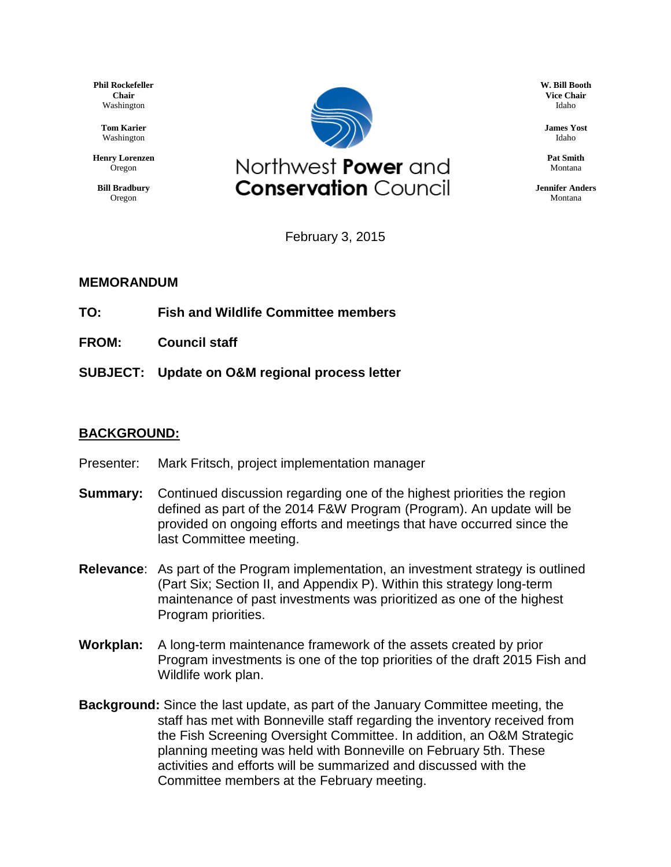**Phil Rockefeller Chair** Washington

> **Tom Karier** Washington

**Henry Lorenzen** Oregon

**Bill Bradbury** Oregon



**W. Bill Booth Vice Chair** Idaho

**James Yost** Idaho

**Pat Smith** Montana

**Jennifer Anders** Montana

February 3, 2015

#### **MEMORANDUM**

- **TO: Fish and Wildlife Committee members**
- **FROM: Council staff**
- **SUBJECT: Update on O&M regional process letter**

#### **BACKGROUND:**

- Presenter: Mark Fritsch, project implementation manager
- **Summary:** Continued discussion regarding one of the highest priorities the region defined as part of the 2014 F&W Program (Program). An update will be provided on ongoing efforts and meetings that have occurred since the last Committee meeting.
- **Relevance**: As part of the Program implementation, an investment strategy is outlined (Part Six; Section II, and Appendix P). Within this strategy long-term maintenance of past investments was prioritized as one of the highest Program priorities.
- **Workplan:** A long-term maintenance framework of the assets created by prior Program investments is one of the top priorities of the draft 2015 Fish and Wildlife work plan.
- **Background:** Since the last update, as part of the January Committee meeting, the staff has met with Bonneville staff regarding the inventory received from the Fish Screening Oversight Committee. In addition, an O&M Strategic planning meeting was held with Bonneville on February 5th. These activities and efforts will be summarized and discussed with the Committee members at the February meeting.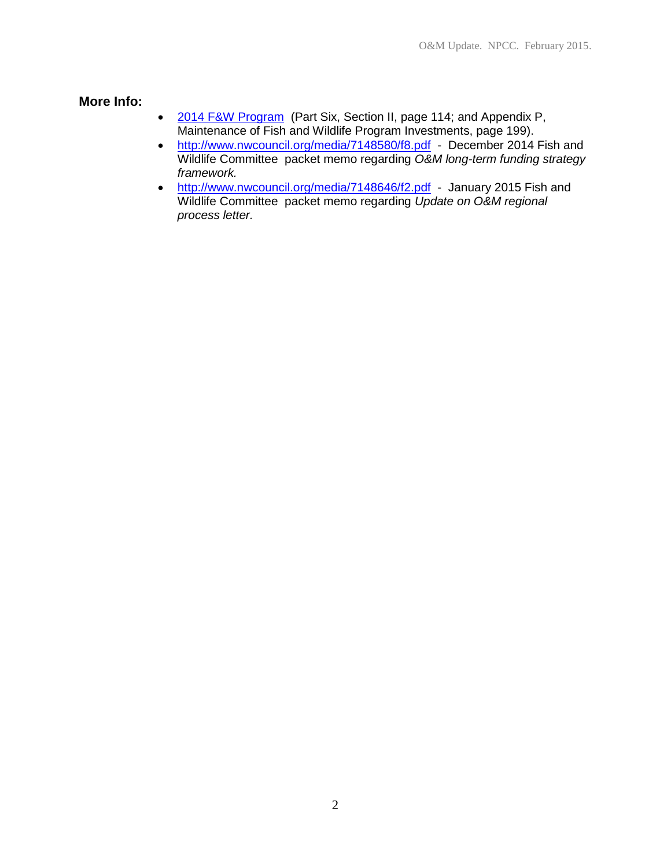**More Info:**

- [2014 F&W Program](http://www.nwcouncil.org/media/7148391/2014-12.docx) (Part Six, Section II, page 114; and Appendix P, Maintenance of Fish and Wildlife Program Investments, page 199).
- <http://www.nwcouncil.org/media/7148580/f8.pdf> December 2014 Fish and Wildlife Committee packet memo regarding *O&M long-term funding strategy framework.*
- <http://www.nwcouncil.org/media/7148646/f2.pdf> January 2015 Fish and Wildlife Committee packet memo regarding *Update on O&M regional process letter.*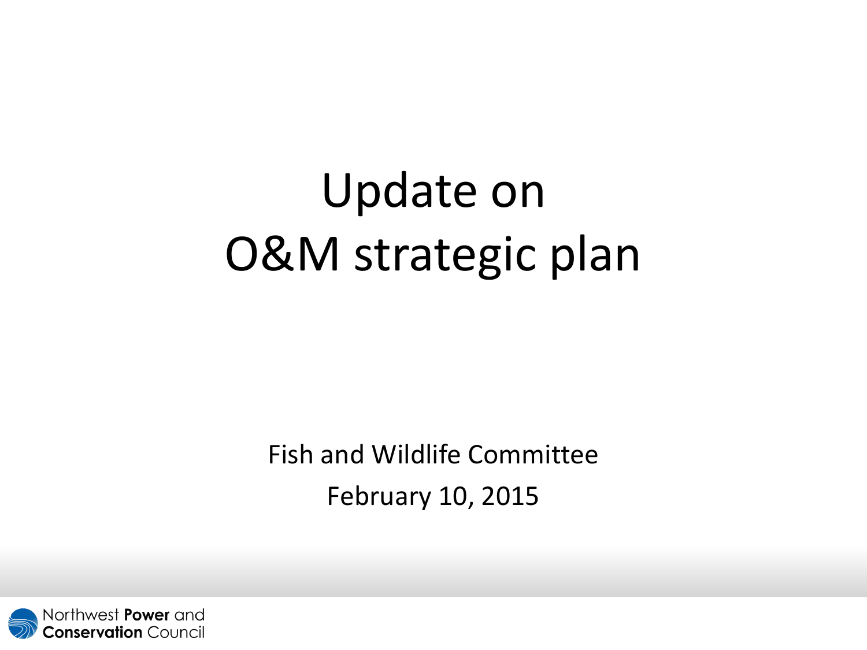# Update on O&M strategic plan

Fish and Wildlife Committee February 10, 2015

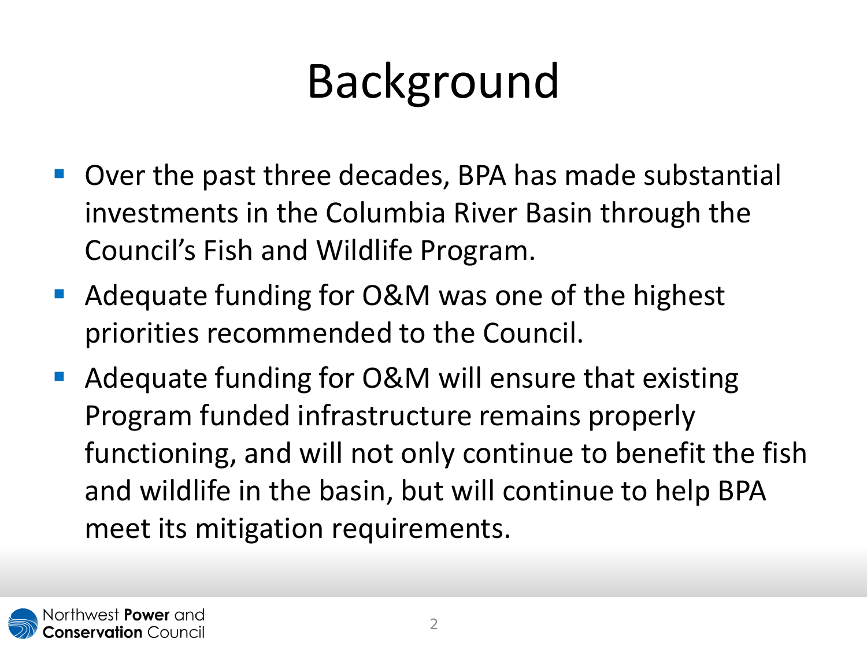# Background

- Over the past three decades, BPA has made substantial investments in the Columbia River Basin through the Council's Fish and Wildlife Program.
- Adequate funding for O&M was one of the highest priorities recommended to the Council.
- Adequate funding for O&M will ensure that existing Program funded infrastructure remains properly functioning, and will not only continue to benefit the fish and wildlife in the basin, but will continue to help BPA meet its mitigation requirements.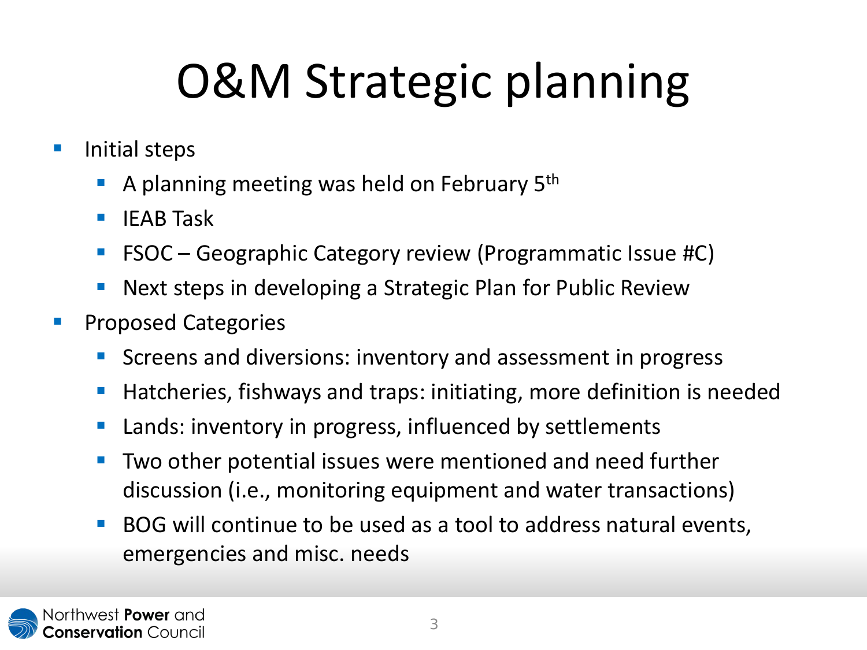# O&M Strategic planning

- **Initial steps** 
	- A planning meeting was held on February  $5<sup>th</sup>$
	- $\blacksquare$  IEAB Task
	- FSOC Geographic Category review (Programmatic Issue #C)
	- Next steps in developing a Strategic Plan for Public Review
- **Proposed Categories** 
	- **SCREEN** Screens and diversions: inventory and assessment in progress
	- Hatcheries, fishways and traps: initiating, more definition is needed
	- Lands: inventory in progress, influenced by settlements
	- **Two other potential issues were mentioned and need further** discussion (i.e., monitoring equipment and water transactions)
	- **BOG** will continue to be used as a tool to address natural events, emergencies and misc. needs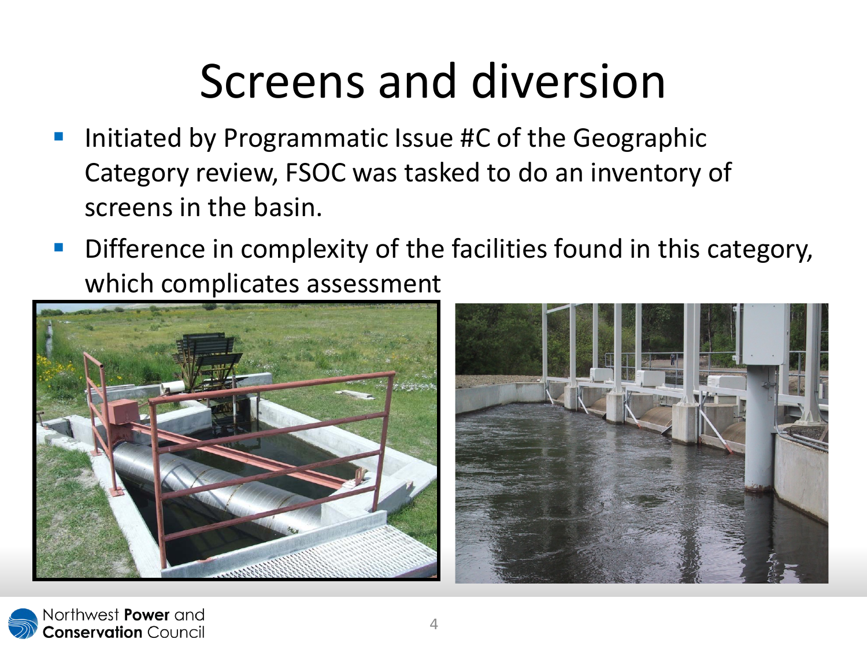## Screens and diversion

- Initiated by Programmatic Issue #C of the Geographic Category review, FSOC was tasked to do an inventory of screens in the basin.
- **Difference in complexity of the facilities found in this category,** which complicates assessment



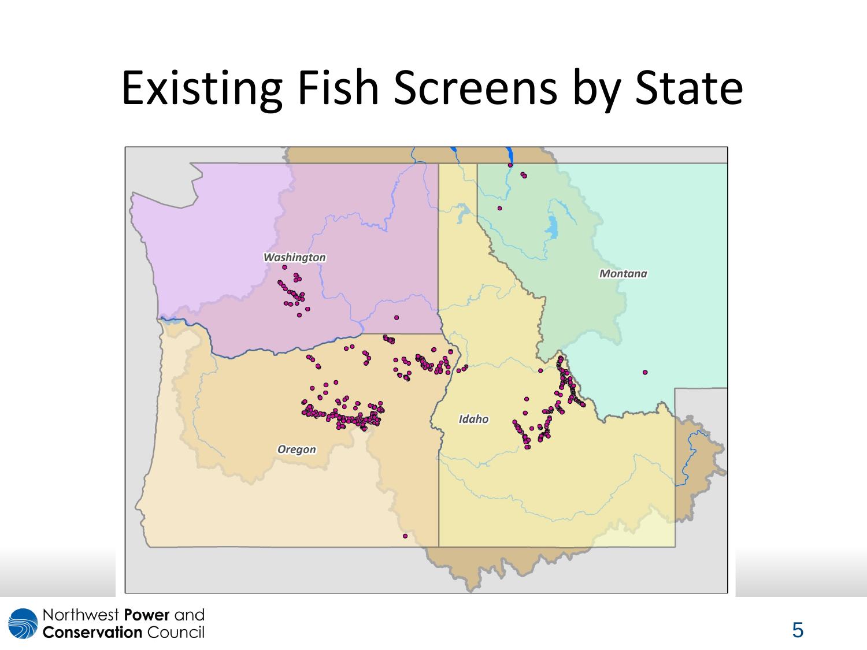#### Existing Fish Screens by State



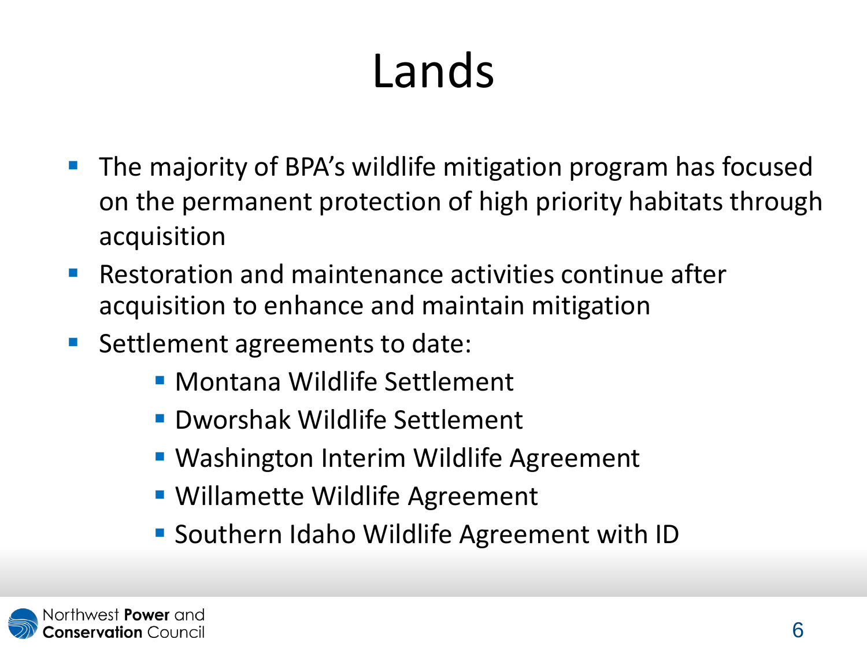## Lands

- The majority of BPA's wildlife mitigation program has focused on the permanent protection of high priority habitats through acquisition
- **Restoration and maintenance activities continue after** acquisition to enhance and maintain mitigation
- Settlement agreements to date:
	- Montana Wildlife Settlement
	- Dworshak Wildlife Settlement
	- **Washington Interim Wildlife Agreement**
	- Willamette Wildlife Agreement
	- **Southern Idaho Wildlife Agreement with ID**

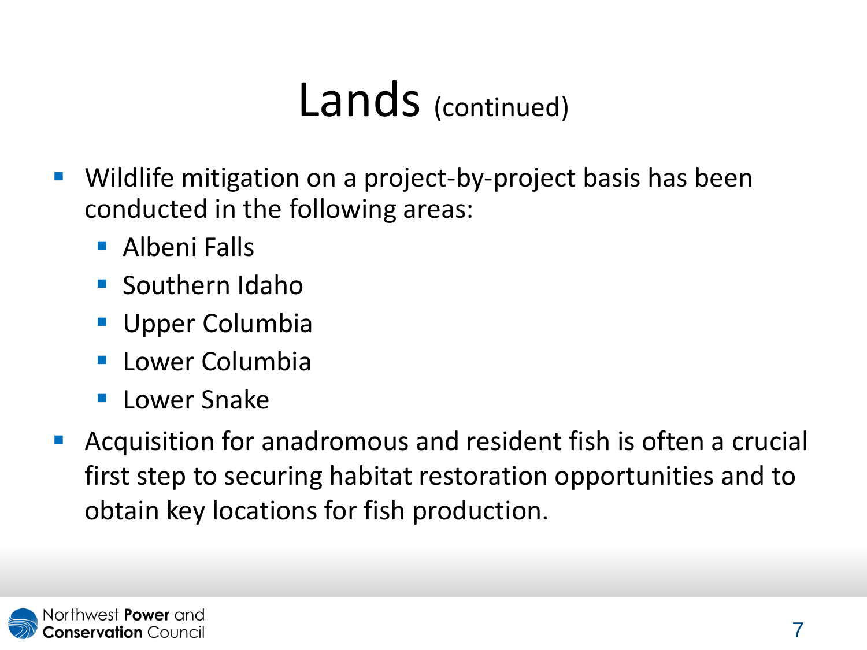#### Lands (continued)

- Wildlife mitigation on a project-by-project basis has been conducted in the following areas:
	- Albeni Falls
	- **Southern Idaho**
	- **Upper Columbia**
	- **Lower Columbia**
	- **Lower Snake**
- Acquisition for anadromous and resident fish is often a crucial first step to securing habitat restoration opportunities and to obtain key locations for fish production.

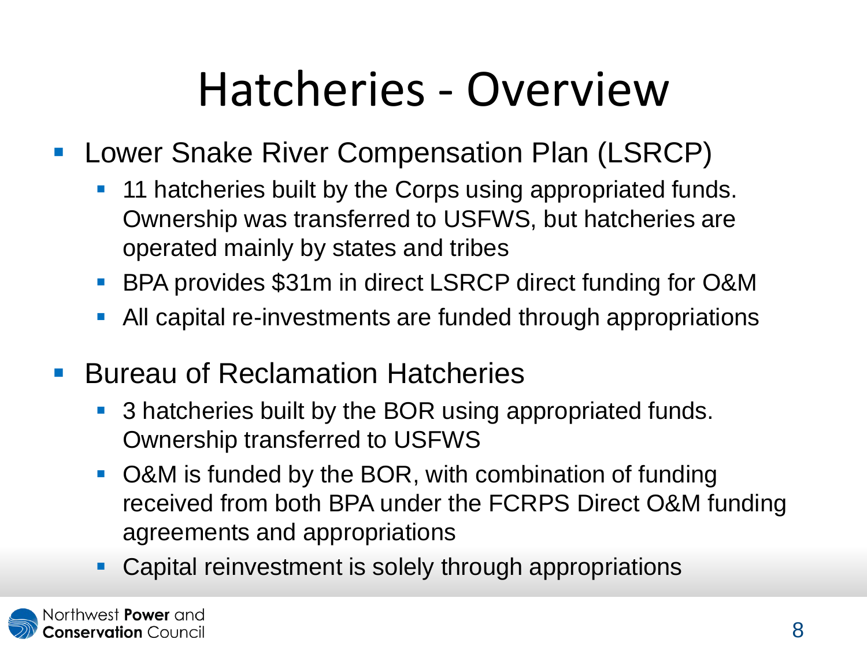## Hatcheries - Overview

- **Lower Snake River Compensation Plan (LSRCP)** 
	- 11 hatcheries built by the Corps using appropriated funds. Ownership was transferred to USFWS, but hatcheries are operated mainly by states and tribes
	- BPA provides \$31m in direct LSRCP direct funding for O&M
	- All capital re-investments are funded through appropriations
- **Bureau of Reclamation Hatcheries** 
	- 3 hatcheries built by the BOR using appropriated funds. Ownership transferred to USFWS
	- O&M is funded by the BOR, with combination of funding received from both BPA under the FCRPS Direct O&M funding agreements and appropriations
	- **Capital reinvestment is solely through appropriations**

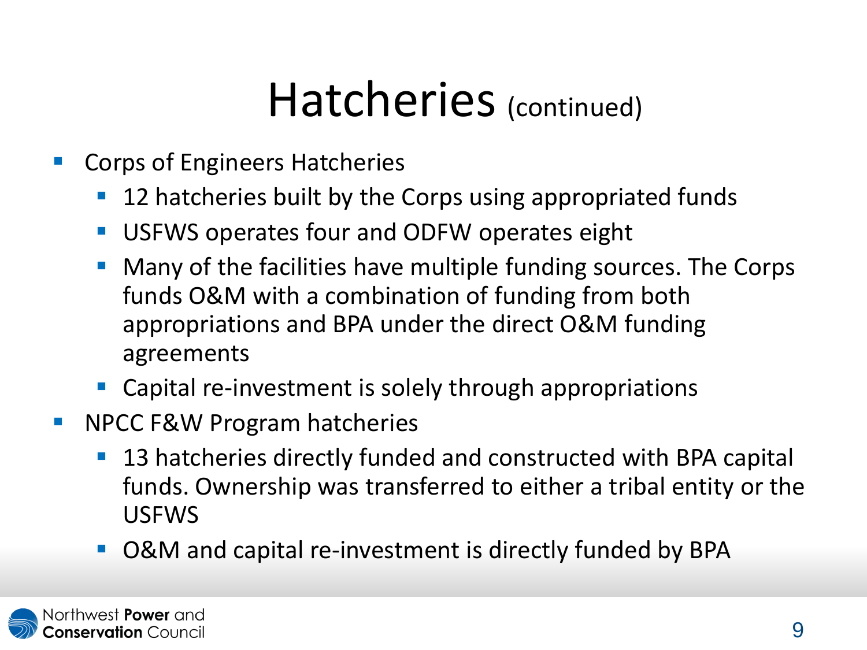#### Hatcheries (continued)

- Corps of Engineers Hatcheries
	- 12 hatcheries built by the Corps using appropriated funds
	- **USFWS operates four and ODFW operates eight**
	- **Many of the facilities have multiple funding sources. The Corps** funds O&M with a combination of funding from both appropriations and BPA under the direct O&M funding agreements
	- Capital re-investment is solely through appropriations
- **NPCC F&W Program hatcheries** 
	- 13 hatcheries directly funded and constructed with BPA capital funds. Ownership was transferred to either a tribal entity or the USFWS
	- O&M and capital re-investment is directly funded by BPA

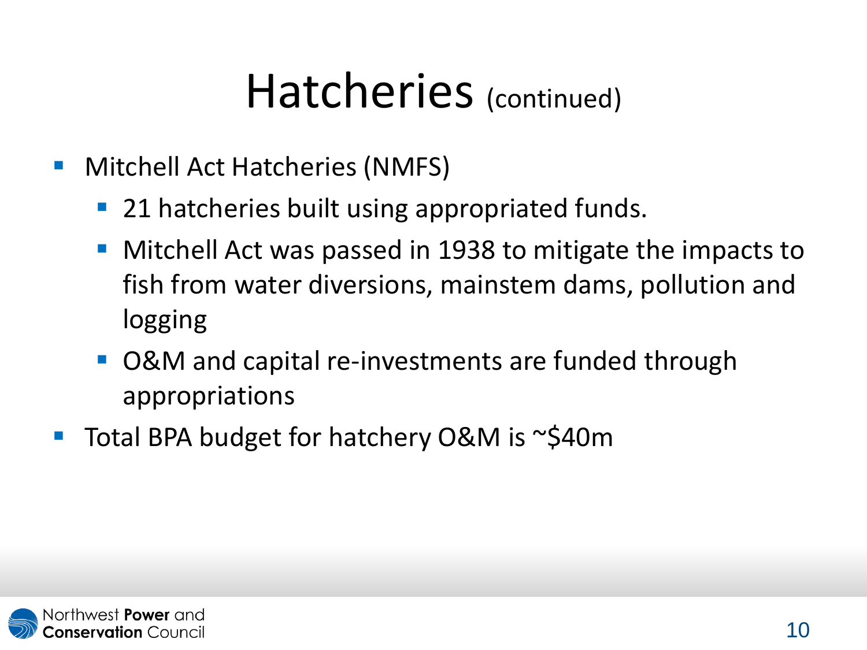#### Hatcheries (continued)

- **Mitchell Act Hatcheries (NMFS)** 
	- 21 hatcheries built using appropriated funds.
	- Mitchell Act was passed in 1938 to mitigate the impacts to fish from water diversions, mainstem dams, pollution and logging
	- O&M and capital re-investments are funded through appropriations
- Total BPA budget for hatchery O&M is ~\$40m